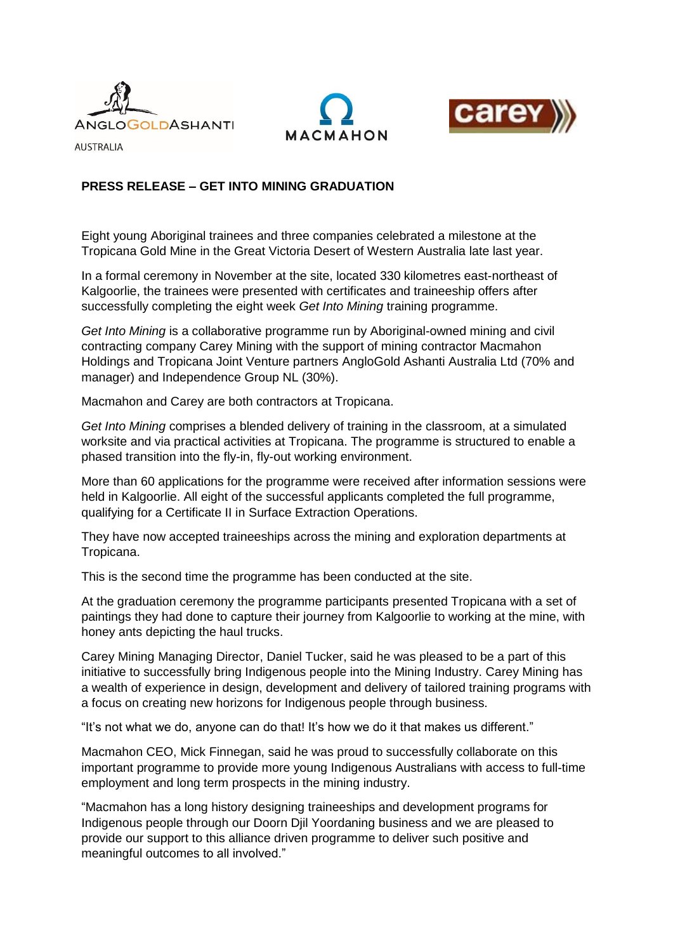





**AUSTRALIA** 

# **PRESS RELEASE – GET INTO MINING GRADUATION**

Eight young Aboriginal trainees and three companies celebrated a milestone at the Tropicana Gold Mine in the Great Victoria Desert of Western Australia late last year.

In a formal ceremony in November at the site, located 330 kilometres east-northeast of Kalgoorlie, the trainees were presented with certificates and traineeship offers after successfully completing the eight week *Get Into Mining* training programme.

*Get Into Mining* is a collaborative programme run by Aboriginal-owned mining and civil contracting company Carey Mining with the support of mining contractor Macmahon Holdings and Tropicana Joint Venture partners AngloGold Ashanti Australia Ltd (70% and manager) and Independence Group NL (30%).

Macmahon and Carey are both contractors at Tropicana.

*Get Into Mining* comprises a blended delivery of training in the classroom, at a simulated worksite and via practical activities at Tropicana. The programme is structured to enable a phased transition into the fly-in, fly-out working environment.

More than 60 applications for the programme were received after information sessions were held in Kalgoorlie. All eight of the successful applicants completed the full programme, qualifying for a Certificate II in Surface Extraction Operations.

They have now accepted traineeships across the mining and exploration departments at Tropicana.

This is the second time the programme has been conducted at the site.

At the graduation ceremony the programme participants presented Tropicana with a set of paintings they had done to capture their journey from Kalgoorlie to working at the mine, with honey ants depicting the haul trucks.

Carey Mining Managing Director, Daniel Tucker, said he was pleased to be a part of this initiative to successfully bring Indigenous people into the Mining Industry. Carey Mining has a wealth of experience in design, development and delivery of tailored training programs with a focus on creating new horizons for Indigenous people through business.

"It's not what we do, anyone can do that! It's how we do it that makes us different."

Macmahon CEO, Mick Finnegan, said he was proud to successfully collaborate on this important programme to provide more young Indigenous Australians with access to full-time employment and long term prospects in the mining industry.

"Macmahon has a long history designing traineeships and development programs for Indigenous people through our Doorn Djil Yoordaning business and we are pleased to provide our support to this alliance driven programme to deliver such positive and meaningful outcomes to all involved."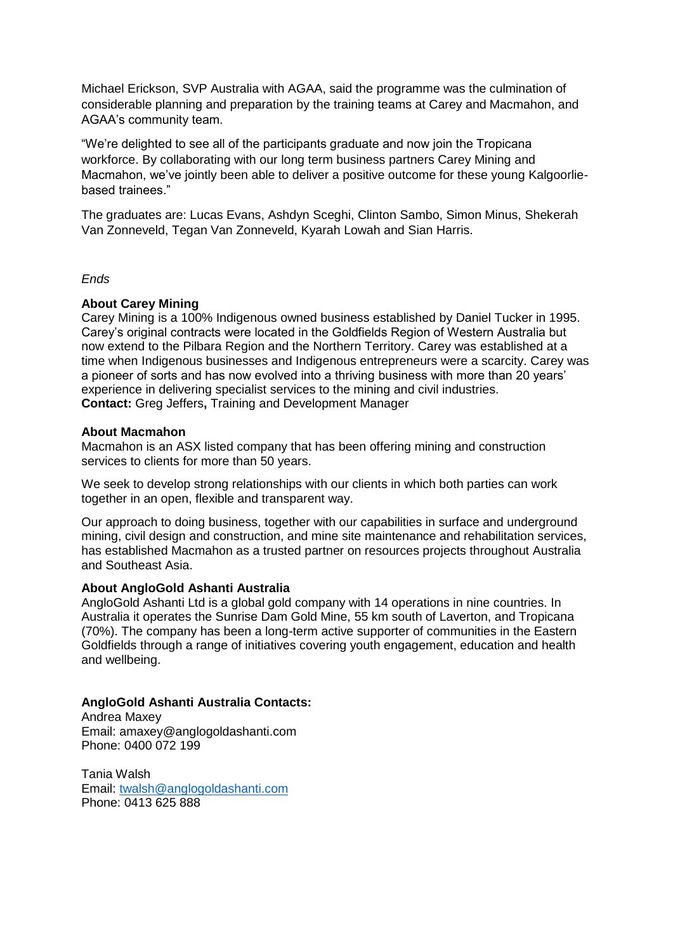Michael Erickson, SVP Australia with AGAA, said the programme was the culmination of considerable planning and preparation by the training teams at Carey and Macmahon, and AGAA's community team.

"We're delighted to see all of the participants graduate and now join the Tropicana workforce. By collaborating with our long term business partners Carey Mining and Macmahon, we've jointly been able to deliver a positive outcome for these young Kalgoorliebased trainees."

The graduates are: Lucas Evans, Ashdyn Sceghi, Clinton Sambo, Simon Minus, Shekerah Van Zonneveld, Tegan Van Zonneveld, Kyarah Lowah and Sian Harris.

### *Ends*

### **About Carey Mining**

Carey Mining is a 100% Indigenous owned business established by Daniel Tucker in 1995. Carey's original contracts were located in the Goldfields Region of Western Australia but now extend to the Pilbara Region and the Northern Territory. Carey was established at a time when Indigenous businesses and Indigenous entrepreneurs were a scarcity. Carey was a pioneer of sorts and has now evolved into a thriving business with more than 20 years' experience in delivering specialist services to the mining and civil industries. **Contact:** Greg Jeffers**,** Training and Development Manager

### **About Macmahon**

Macmahon is an ASX listed company that has been offering mining and construction services to clients for more than 50 years.

We seek to develop strong relationships with our clients in which both parties can work together in an open, flexible and transparent way.

Our approach to doing business, together with our capabilities in surface and underground mining, civil design and construction, and mine site maintenance and rehabilitation services, has established Macmahon as a trusted partner on resources projects throughout Australia and Southeast Asia.

## **About AngloGold Ashanti Australia**

AngloGold Ashanti Ltd is a global gold company with 14 operations in nine countries. In Australia it operates the Sunrise Dam Gold Mine, 55 km south of Laverton, and Tropicana (70%). The company has been a long-term active supporter of communities in the Eastern Goldfields through a range of initiatives covering youth engagement, education and health and wellbeing.

## **AngloGold Ashanti Australia Contacts:**

Andrea Maxey Email: amaxey@anglogoldashanti.com Phone: 0400 072 199

Tania Walsh Email: [twalsh@anglogoldashanti.com](mailto:twalsh@anglogoldashanti.com) Phone: 0413 625 888